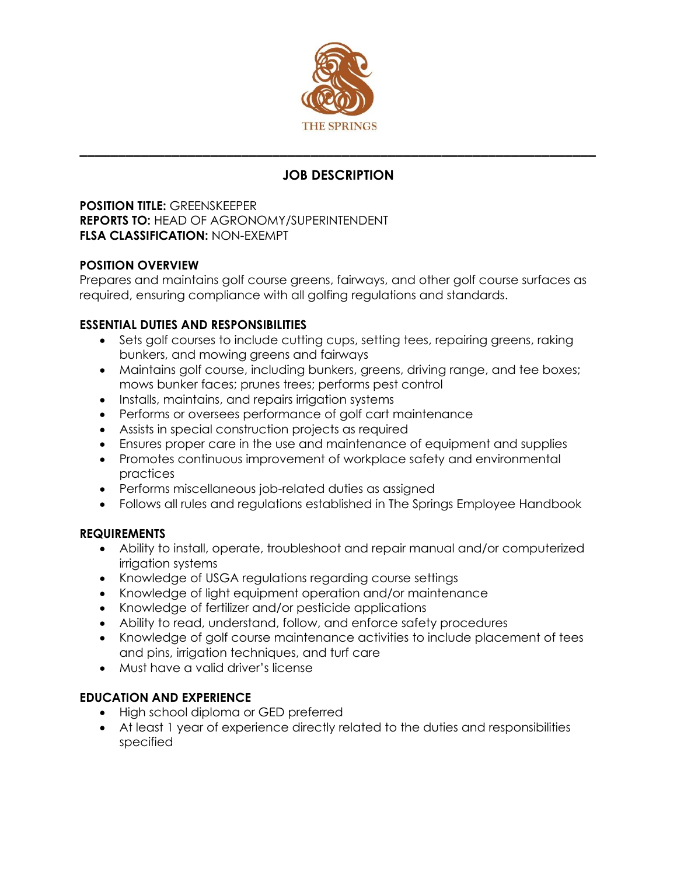

# **JOB DESCRIPTION**

**\_\_\_\_\_\_\_\_\_\_\_\_\_\_\_\_\_\_\_\_\_\_\_\_\_\_\_\_\_\_\_\_\_\_\_\_\_\_\_\_\_\_\_\_\_\_\_\_\_\_\_\_\_\_\_\_\_\_\_\_\_\_\_\_\_\_\_**

**POSITION TITLE:** GREENSKEEPER **REPORTS TO:** HEAD OF AGRONOMY/SUPERINTENDENT **FLSA CLASSIFICATION:** NON-EXEMPT

### **POSITION OVERVIEW**

Prepares and maintains golf course greens, fairways, and other golf course surfaces as required, ensuring compliance with all golfing regulations and standards.

### **ESSENTIAL DUTIES AND RESPONSIBILITIES**

- Sets golf courses to include cutting cups, setting tees, repairing greens, raking bunkers, and mowing greens and fairways
- Maintains golf course, including bunkers, greens, driving range, and tee boxes; mows bunker faces; prunes trees; performs pest control
- Installs, maintains, and repairs irrigation systems
- Performs or oversees performance of golf cart maintenance
- Assists in special construction projects as required
- Ensures proper care in the use and maintenance of equipment and supplies
- Promotes continuous improvement of workplace safety and environmental practices
- Performs miscellaneous job-related duties as assigned
- Follows all rules and regulations established in The Springs Employee Handbook

#### **REQUIREMENTS**

- Ability to install, operate, troubleshoot and repair manual and/or computerized irrigation systems
- Knowledge of USGA regulations regarding course settings
- Knowledge of light equipment operation and/or maintenance
- Knowledge of fertilizer and/or pesticide applications
- Ability to read, understand, follow, and enforce safety procedures
- Knowledge of golf course maintenance activities to include placement of tees and pins, irrigation techniques, and turf care
- Must have a valid driver's license

## **EDUCATION AND EXPERIENCE**

- High school diploma or GED preferred
- At least 1 year of experience directly related to the duties and responsibilities specified